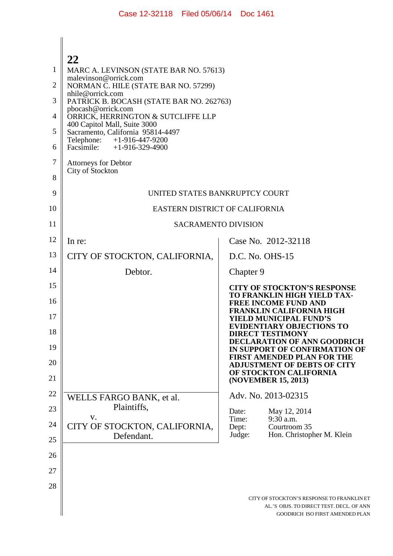# $\mathbb{I}$ **22**

|    | ∠∠                                                                |                                                                                                                           |
|----|-------------------------------------------------------------------|---------------------------------------------------------------------------------------------------------------------------|
| 1  | MARC A. LEVINSON (STATE BAR NO. 57613)                            |                                                                                                                           |
| 2  | malevinson@orrick.com<br>NORMAN C. HILE (STATE BAR NO. 57299)     |                                                                                                                           |
| 3  | nhile@orrick.com<br>PATRICK B. BOCASH (STATE BAR NO. 262763)      |                                                                                                                           |
| 4  | pbocash@orrick.com<br>ORRICK, HERRINGTON & SUTCLIFFE LLP          |                                                                                                                           |
| 5  | 400 Capitol Mall, Suite 3000<br>Sacramento, California 95814-4497 |                                                                                                                           |
| 6  | Telephone: +1-916-447-9200<br>Facsimile: $+1-916-329-4900$        |                                                                                                                           |
| 7  | <b>Attorneys for Debtor</b><br>City of Stockton                   |                                                                                                                           |
| 8  |                                                                   |                                                                                                                           |
| 9  | UNITED STATES BANKRUPTCY COURT                                    |                                                                                                                           |
| 10 | EASTERN DISTRICT OF CALIFORNIA                                    |                                                                                                                           |
| 11 | <b>SACRAMENTO DIVISION</b>                                        |                                                                                                                           |
| 12 | In re:                                                            | Case No. 2012-32118                                                                                                       |
| 13 | CITY OF STOCKTON, CALIFORNIA,                                     | $D.C.$ No. $OHS-15$                                                                                                       |
| 14 | Debtor.                                                           | Chapter 9                                                                                                                 |
| 15 |                                                                   | <b>CITY OF STOCKTON'S RESPONSE</b>                                                                                        |
| 16 |                                                                   | TO FRANKLIN HIGH YIELD TAX-<br><b>FREE INCOME FUND AND</b>                                                                |
| 17 |                                                                   | <b>FRANKLIN CALIFORNIA HIGH</b><br>YIELD MUNICIPAL FUND'S                                                                 |
| 18 |                                                                   | <b>EVIDENTIARY OBJECTIONS TO</b><br><b>DIRECT TESTIMONY</b>                                                               |
| 19 |                                                                   | DECLARATION OF ANN GOODRICH<br>IN SUPPORT OF CONFIRMATION OF                                                              |
| 20 |                                                                   | <b>FIRST AMENDED PLAN FOR THE</b><br><b>ADJUSTMENT OF DEBTS OF CITY</b>                                                   |
| 21 |                                                                   | OF STOCKTON CALIFORNIA<br>(NOVEMBER 15, 2013)                                                                             |
| 22 | WELLS FARGO BANK, et al.                                          | Adv. No. 2013-02315                                                                                                       |
| 23 | Plaintiffs,<br>V.                                                 | Date:<br>May 12, 2014                                                                                                     |
| 24 | CITY OF STOCKTON, CALIFORNIA,                                     | Time:<br>9:30 a.m.<br>Dept:<br>Courtroom 35                                                                               |
| 25 | Defendant.                                                        | Judge:<br>Hon. Christopher M. Klein                                                                                       |
| 26 |                                                                   |                                                                                                                           |
| 27 |                                                                   |                                                                                                                           |
| 28 |                                                                   |                                                                                                                           |
|    |                                                                   | CITY OF STOCKTON'S RESPONSE TO FRANKLIN ET<br>AL.'S OBJS. TO DIRECT TEST. DECL. OF ANN<br>GOODRICH ISO FIRST AMENDED PLAN |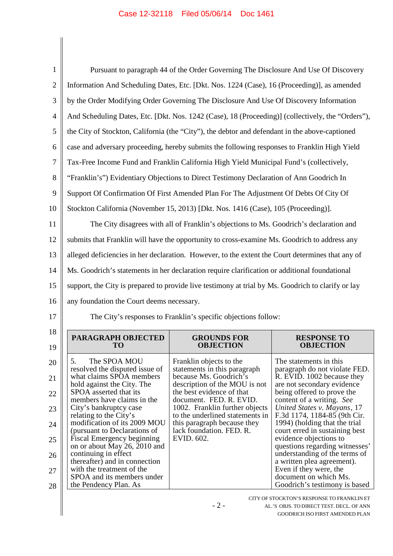$\begin{array}{c} \hline \end{array}$ 

| $\mathbf{1}$   |                                                                                                    | Pursuant to paragraph 44 of the Order Governing The Disclosure And Use Of Discovery    |                                                                                                                                                            |
|----------------|----------------------------------------------------------------------------------------------------|----------------------------------------------------------------------------------------|------------------------------------------------------------------------------------------------------------------------------------------------------------|
| $\overline{2}$ | Information And Scheduling Dates, Etc. [Dkt. Nos. 1224 (Case), 16 (Proceeding)], as amended        |                                                                                        |                                                                                                                                                            |
| 3              | by the Order Modifying Order Governing The Disclosure And Use Of Discovery Information             |                                                                                        |                                                                                                                                                            |
| $\overline{4}$ | And Scheduling Dates, Etc. [Dkt. Nos. 1242 (Case), 18 (Proceeding)] (collectively, the "Orders"),  |                                                                                        |                                                                                                                                                            |
| 5              | the City of Stockton, California (the "City"), the debtor and defendant in the above-captioned     |                                                                                        |                                                                                                                                                            |
| 6              | case and adversary proceeding, hereby submits the following responses to Franklin High Yield       |                                                                                        |                                                                                                                                                            |
| 7              | Tax-Free Income Fund and Franklin California High Yield Municipal Fund's (collectively,            |                                                                                        |                                                                                                                                                            |
| 8              | "Franklin's") Evidentiary Objections to Direct Testimony Declaration of Ann Goodrich In            |                                                                                        |                                                                                                                                                            |
| 9              | Support Of Confirmation Of First Amended Plan For The Adjustment Of Debts Of City Of               |                                                                                        |                                                                                                                                                            |
| 10             | Stockton California (November 15, 2013) [Dkt. Nos. 1416 (Case), 105 (Proceeding)].                 |                                                                                        |                                                                                                                                                            |
| 11             |                                                                                                    | The City disagrees with all of Franklin's objections to Ms. Goodrich's declaration and |                                                                                                                                                            |
| 12             | submits that Franklin will have the opportunity to cross-examine Ms. Goodrich to address any       |                                                                                        |                                                                                                                                                            |
| 13             | alleged deficiencies in her declaration. However, to the extent the Court determines that any of   |                                                                                        |                                                                                                                                                            |
| 14             | Ms. Goodrich's statements in her declaration require clarification or additional foundational      |                                                                                        |                                                                                                                                                            |
| 15             | support, the City is prepared to provide live testimony at trial by Ms. Goodrich to clarify or lay |                                                                                        |                                                                                                                                                            |
| 16             | any foundation the Court deems necessary.                                                          |                                                                                        |                                                                                                                                                            |
| 17             | The City's responses to Franklin's specific objections follow:                                     |                                                                                        |                                                                                                                                                            |
| 18             | PARAGRAPH OBJECTED<br>TO                                                                           | <b>GROUNDS FOR</b><br><b>OBJECTION</b>                                                 | <b>RESPONSE TO</b><br><b>OBJECTION</b>                                                                                                                     |
| 19             |                                                                                                    |                                                                                        |                                                                                                                                                            |
| 20             | 5.<br>The SPOA MOU<br>resolved the disputed issue of                                               | Franklin objects to the<br>statements in this paragraph                                | The statements in this<br>paragraph do not violate FED.                                                                                                    |
| 21             | what claims SPOA members<br>hold against the City. The                                             | because Ms. Goodrich's<br>description of the MOU is not                                | R. EVID. 1002 because they<br>are not secondary evidence                                                                                                   |
| 22             | SPOA asserted that its<br>members have claims in the                                               | the best evidence of that<br>document. FED. R. EVID.                                   | being offered to prove the<br>content of a writing. See                                                                                                    |
| 23             | City's bankruptcy case<br>relating to the City's                                                   | 1002. Franklin further objects<br>to the underlined statements in                      | United States v. Mayans, 17<br>F.3d 1174, 1184-85 (9th Cir.                                                                                                |
| 24             | modification of its 2009 MOU<br>(pursuant to Declarations of                                       | this paragraph because they<br>lack foundation. FED. R.                                | 1994) (holding that the trial<br>court erred in sustaining best                                                                                            |
| 25             | Fiscal Emergency beginning<br>on or about May 26, 2010 and                                         | EVID. 602.                                                                             | evidence objections to<br>questions regarding witnesses'                                                                                                   |
| 26             | continuing in effect<br>thereafter) and in connection                                              |                                                                                        | understanding of the terms of<br>a written plea agreement).                                                                                                |
| 27             | with the treatment of the<br>SPOA and its members under                                            |                                                                                        | Even if they were, the<br>document on which Ms.                                                                                                            |
|                |                                                                                                    |                                                                                        |                                                                                                                                                            |
| 28             | the Pendency Plan. As                                                                              | $-2-$                                                                                  | Goodrich's testimony is based<br>CITY OF STOCKTON'S RESPONSE TO FRANKLIN ET<br>AL.'S OBJS. TO DIRECT TEST. DECL. OF ANN<br>GOODRICH ISO FIRST AMENDED PLAN |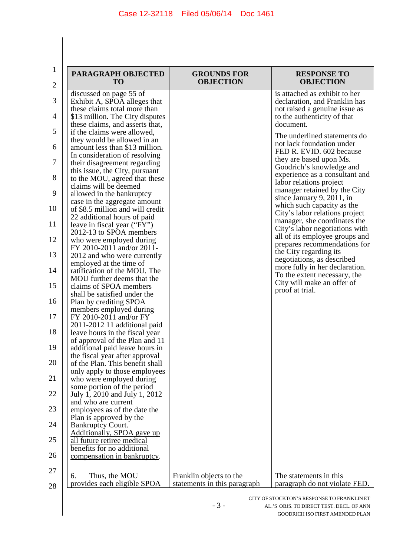$\begin{array}{c} \hline \end{array}$  $\parallel$ 

| $\mathbf{1}$<br>2 | PARAGRAPH OBJECTED<br><b>TO</b>                                   | <b>GROUNDS FOR</b><br><b>OBJECTION</b>                  | <b>RESPONSE TO</b><br><b>OBJECTION</b>                         |
|-------------------|-------------------------------------------------------------------|---------------------------------------------------------|----------------------------------------------------------------|
| 3                 | discussed on page 55 of<br>Exhibit A, SPOA alleges that           |                                                         | is attached as exhibit to her<br>declaration, and Franklin has |
| 4                 | these claims total more than<br>\$13 million. The City disputes   |                                                         | not raised a genuine issue as<br>to the authenticity of that   |
| 5                 | these claims, and asserts that,<br>if the claims were allowed,    |                                                         | document.                                                      |
| 6                 | they would be allowed in an<br>amount less than \$13 million.     |                                                         | The underlined statements do<br>not lack foundation under      |
| 7                 | In consideration of resolving                                     |                                                         | FED R. EVID. 602 because<br>they are based upon Ms.            |
|                   | their disagreement regarding<br>this issue, the City, pursuant    |                                                         | Goodrich's knowledge and<br>experience as a consultant and     |
| 8                 | to the MOU, agreed that these<br>claims will be deemed            |                                                         | labor relations project<br>manager retained by the City        |
| 9                 | allowed in the bankruptcy<br>case in the aggregate amount         |                                                         | since January 9, 2011, in<br>which such capacity as the        |
| 10                | of \$8.5 million and will credit<br>22 additional hours of paid   |                                                         | City's labor relations project                                 |
| 11                | leave in fiscal year ("FY")<br>2012-13 to SPOA members            |                                                         | manager, she coordinates the<br>City's labor negotiations with |
| 12                | who were employed during<br>FY 2010-2011 and/or 2011-             |                                                         | all of its employee groups and<br>prepares recommendations for |
| 13                | 2012 and who were currently<br>employed at the time of            |                                                         | the City regarding its<br>negotiations, as described           |
| 14                | ratification of the MOU. The<br>MOU further deems that the        |                                                         | more fully in her declaration.<br>To the extent necessary, the |
| 15                | claims of SPOA members<br>shall be satisfied under the            |                                                         | City will make an offer of<br>proof at trial.                  |
| 16                | Plan by crediting SPOA<br>members employed during                 |                                                         |                                                                |
| 17                | FY 2010-2011 and/or FY                                            |                                                         |                                                                |
| 18                | 2011-2012 11 additional paid<br>leave hours in the fiscal year    |                                                         |                                                                |
| 19                | of approval of the Plan and 11<br>additional paid leave hours in  |                                                         |                                                                |
| 20                | the fiscal year after approval<br>of the Plan. This benefit shall |                                                         |                                                                |
| 21                | only apply to those employees<br>who were employed during         |                                                         |                                                                |
| 22                | some portion of the period<br>July 1, 2010 and July 1, 2012       |                                                         |                                                                |
| 23                | and who are current<br>employees as of the date the               |                                                         |                                                                |
| 24                | Plan is approved by the<br><b>Bankruptcy Court.</b>               |                                                         |                                                                |
| 25                | Additionally, SPOA gave up<br>all future retiree medical          |                                                         |                                                                |
| 26                | benefits for no additional<br>compensation in bankruptcy.         |                                                         |                                                                |
| 27                |                                                                   |                                                         |                                                                |
| 28                | Thus, the MOU<br>6.<br>provides each eligible SPOA                | Franklin objects to the<br>statements in this paragraph | The statements in this<br>paragraph do not violate FED.        |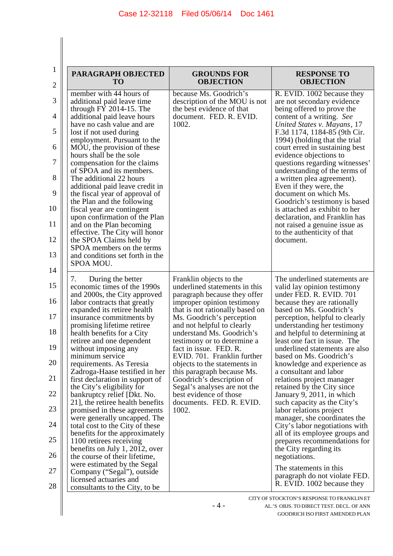$\begin{array}{c} \hline \end{array}$  $\parallel$ 

| $\mathbf{1}$   |                                                                   |                                                               |                                                                 |
|----------------|-------------------------------------------------------------------|---------------------------------------------------------------|-----------------------------------------------------------------|
| $\overline{c}$ | PARAGRAPH OBJECTED<br><b>TO</b>                                   | <b>GROUNDS FOR</b><br><b>OBJECTION</b>                        | <b>RESPONSE TO</b><br><b>OBJECTION</b>                          |
| 3              | member with 44 hours of<br>additional paid leave time             | because Ms. Goodrich's<br>description of the MOU is not       | R. EVID. 1002 because they<br>are not secondary evidence        |
| 4              | through $FY$ 2014-15. The<br>additional paid leave hours          | the best evidence of that<br>document. FED. R. EVID.          | being offered to prove the<br>content of a writing. See         |
| 5              | have no cash value and are<br>lost if not used during             | 1002.                                                         | United States v. Mayans, 17<br>F.3d 1174, 1184-85 (9th Cir.     |
| 6              | employment. Pursuant to the<br>MOU, the provision of these        |                                                               | 1994) (holding that the trial<br>court erred in sustaining best |
| 7              | hours shall be the sole<br>compensation for the claims            |                                                               | evidence objections to<br>questions regarding witnesses'        |
| 8              | of SPOA and its members.<br>The additional 22 hours               |                                                               | understanding of the terms of<br>a written plea agreement).     |
| 9              | additional paid leave credit in<br>the fiscal year of approval of |                                                               | Even if they were, the<br>document on which Ms.                 |
| 10             | the Plan and the following                                        |                                                               | Goodrich's testimony is based                                   |
|                | fiscal year are contingent<br>upon confirmation of the Plan       |                                                               | is attached as exhibit to her<br>declaration, and Franklin has  |
| 11             | and on the Plan becoming<br>effective. The City will honor        |                                                               | not raised a genuine issue as<br>to the authenticity of that    |
| 12             | the SPOA Claims held by                                           |                                                               | document.                                                       |
| 13             | SPOA members on the terms<br>and conditions set forth in the      |                                                               |                                                                 |
| 14             | SPOA MOU.                                                         |                                                               |                                                                 |
|                | During the better<br>7.                                           | Franklin objects to the                                       | The underlined statements are                                   |
| 15             | economic times of the 1990s<br>and 2000s, the City approved       | underlined statements in this<br>paragraph because they offer | valid lay opinion testimony<br>under FED. R. EVID. 701          |
| 16             | labor contracts that greatly<br>expanded its retiree health       | improper opinion testimony<br>that is not rationally based on | because they are rationally<br>based on Ms. Goodrich's          |
| 17             | insurance commitments by                                          | Ms. Goodrich's perception                                     | perception, helpful to clearly                                  |
| 18             | promising lifetime retiree<br>health benefits for a City          | and not helpful to clearly<br>understand Ms. Goodrich's       | understanding her testimony<br>and helpful to determining at    |
| 19             | retiree and one dependent<br>without imposing any                 | testimony or to determine a<br>fact in issue. FED. R.         | least one fact in issue. The<br>underlined statements are also  |
|                | minimum service                                                   | EVID. 701. Franklin further                                   | based on Ms. Goodrich's                                         |
| 20             | requirements. As Teresia<br>Zadroga-Haase testified in her        | objects to the statements in<br>this paragraph because Ms.    | knowledge and experience as<br>a consultant and labor           |
| 21             | first declaration in support of<br>the City's eligibility for     | Goodrich's description of<br>Segal's analyses are not the     | relations project manager<br>retained by the City since         |
| 22             | bankruptcy relief [Dkt. No.<br>21], the retiree health benefits   | best evidence of those<br>documents. FED. R. EVID.            | January 9, 2011, in which<br>such capacity as the City's        |
| 23             | promised in these agreements                                      | 1002.                                                         | labor relations project                                         |
| 24             | were generally uncapped. The<br>total cost to the City of these   |                                                               | manager, she coordinates the<br>City's labor negotiations with  |
| 25             | benefits for the approximately<br>1100 retirees receiving         |                                                               | all of its employee groups and<br>prepares recommendations for  |
| 26             | benefits on July 1, 2012, over<br>the course of their lifetime,   |                                                               | the City regarding its                                          |
| 27             | were estimated by the Segal                                       |                                                               | negotiations.<br>The statements in this                         |
| 28             | Company ("Segal"), outside<br>licensed actuaries and              |                                                               | paragraph do not violate FED.<br>R. EVID. 1002 because they     |
|                | consultants to the City, to be                                    |                                                               |                                                                 |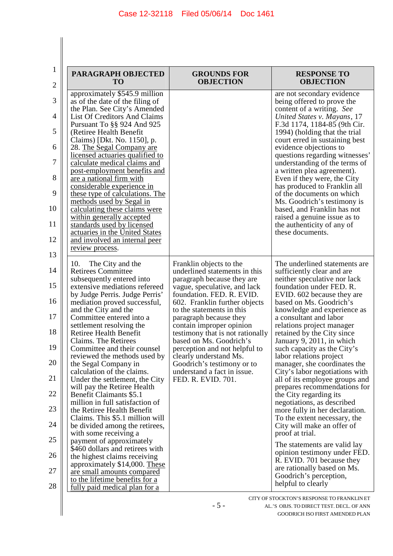| $\mathbf{1}$<br>2 | PARAGRAPH OBJECTED<br>TO                                                          | <b>GROUNDS FOR</b><br><b>OBJECTION</b>                                                 | <b>RESPONSE TO</b><br><b>OBJECTION</b>                                                       |
|-------------------|-----------------------------------------------------------------------------------|----------------------------------------------------------------------------------------|----------------------------------------------------------------------------------------------|
| 3                 | approximately \$545.9 million<br>as of the date of the filing of                  |                                                                                        | are not secondary evidence<br>being offered to prove the                                     |
| 4                 | the Plan. See City's Amended<br><b>List Of Creditors And Claims</b>               |                                                                                        | content of a writing. See<br>United States v. Mayans, 17                                     |
| 5                 | Pursuant To §§ 924 And 925<br>(Retiree Health Benefit                             |                                                                                        | F.3d 1174, 1184-85 (9th Cir.<br>1994) (holding that the trial                                |
| 6                 | Claims) [Dkt. No. 1150], p.<br>28. The Segal Company are                          |                                                                                        | court erred in sustaining best<br>evidence objections to                                     |
| 7                 | licensed actuaries qualified to<br>calculate medical claims and                   |                                                                                        | questions regarding witnesses'<br>understanding of the terms of                              |
| 8                 | post-employment benefits and<br>are a national firm with                          |                                                                                        | a written plea agreement).<br>Even if they were, the City                                    |
| 9                 | considerable experience in<br>these type of calculations. The                     |                                                                                        | has produced to Franklin all<br>of the documents on which                                    |
| 10                | methods used by Segal in<br>calculating these claims were                         |                                                                                        | Ms. Goodrich's testimony is<br>based, and Franklin has not                                   |
| 11                | within generally accepted<br>standards used by licensed                           |                                                                                        | raised a genuine issue as to<br>the authenticity of any of                                   |
| 12                | actuaries in the United States<br>and involved an internal peer                   |                                                                                        | these documents.                                                                             |
| 13                | review process.                                                                   |                                                                                        |                                                                                              |
| 14                | 10.<br>The City and the<br><b>Retirees Committee</b><br>subsequently entered into | Franklin objects to the<br>underlined statements in this<br>paragraph because they are | The underlined statements are.<br>sufficiently clear and are<br>neither speculative nor lack |
| 15                | extensive mediations refereed<br>by Judge Perris. Judge Perris'                   | vague, speculative, and lack<br>foundation. FED. R. EVID.                              | foundation under FED. R.<br>EVID. 602 because they are                                       |
| 16                | mediation proved successful,<br>and the City and the                              | 602. Franklin further objects<br>to the statements in this                             | based on Ms. Goodrich's<br>knowledge and experience as                                       |
| 17                | Committee entered into a<br>settlement resolving the                              | paragraph because they<br>contain improper opinion                                     | a consultant and labor<br>relations project manager                                          |
| 18                | <b>Retiree Health Benefit</b><br>Claims. The Retirees                             | testimony that is not rationally<br>based on Ms. Goodrich's                            | retained by the City since<br>January 9, 2011, in which                                      |
| 19                | Committee and their counsel<br>reviewed the methods used by                       | perception and not helpful to<br>clearly understand Ms.                                | such capacity as the City's<br>labor relations project                                       |
| 20                | the Segal Company in<br>calculation of the claims.                                | Goodrich's testimony or to<br>understand a fact in issue.                              | manager, she coordinates the<br>City's labor negotiations with                               |
| 21                | Under the settlement, the City<br>will pay the Retiree Health                     | FED. R. EVID. 701.                                                                     | all of its employee groups and<br>prepares recommendations for                               |
| 22                | <b>Benefit Claimants \$5.1</b><br>million in full satisfaction of                 |                                                                                        | the City regarding its<br>negotiations, as described                                         |
| 23                | the Retiree Health Benefit<br>Claims. This \$5.1 million will                     |                                                                                        | more fully in her declaration.<br>To the extent necessary, the                               |
| 24                | be divided among the retirees,<br>with some receiving a                           |                                                                                        | City will make an offer of<br>proof at trial.                                                |
| 25                | payment of approximately<br>\$460 dollars and retirees with                       |                                                                                        | The statements are valid lay<br>opinion testimony under FED.                                 |
| 26                | the highest claims receiving<br>approximately \$14,000. These                     |                                                                                        | R. EVID. 701 because they<br>are rationally based on Ms.                                     |
| 27                | are small amounts compared<br>to the lifetime benefits for a                      |                                                                                        | Goodrich's perception,                                                                       |
| 28                | fully paid medical plan for a                                                     |                                                                                        | helpful to clearly                                                                           |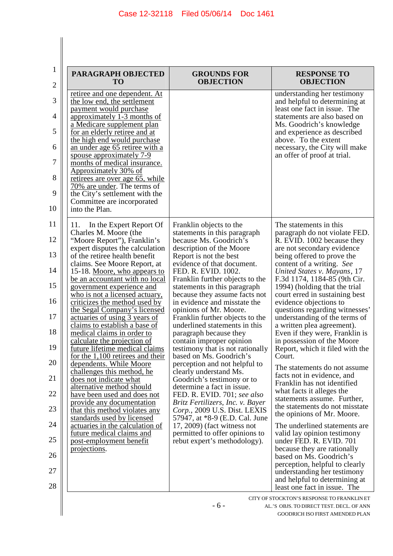$\begin{array}{c} \hline \end{array}$ 

| PARAGRAPH OBJECTED<br>TO                                                                                                                                                                                                                                                                                                                                                                                                                                                                                                                                                                                                                                                                                                                                                                                                                                                                                                                                  | <b>GROUNDS FOR</b><br><b>OBJECTION</b>                                                                                                                                                                                                                                                                                                                                                                                                                                                                                                                                                                                                                                                                                                                                                                                                                                                                              | <b>RESPONSE TO</b><br><b>OBJECTION</b>                                                                                                                                                                                                                                                                                                                                                                                                                                                                                                                                                                                                                                                                                                                                                                                                                                                                                                                                                                    |
|-----------------------------------------------------------------------------------------------------------------------------------------------------------------------------------------------------------------------------------------------------------------------------------------------------------------------------------------------------------------------------------------------------------------------------------------------------------------------------------------------------------------------------------------------------------------------------------------------------------------------------------------------------------------------------------------------------------------------------------------------------------------------------------------------------------------------------------------------------------------------------------------------------------------------------------------------------------|---------------------------------------------------------------------------------------------------------------------------------------------------------------------------------------------------------------------------------------------------------------------------------------------------------------------------------------------------------------------------------------------------------------------------------------------------------------------------------------------------------------------------------------------------------------------------------------------------------------------------------------------------------------------------------------------------------------------------------------------------------------------------------------------------------------------------------------------------------------------------------------------------------------------|-----------------------------------------------------------------------------------------------------------------------------------------------------------------------------------------------------------------------------------------------------------------------------------------------------------------------------------------------------------------------------------------------------------------------------------------------------------------------------------------------------------------------------------------------------------------------------------------------------------------------------------------------------------------------------------------------------------------------------------------------------------------------------------------------------------------------------------------------------------------------------------------------------------------------------------------------------------------------------------------------------------|
| retiree and one dependent. At<br>the low end, the settlement<br>payment would purchase<br>approximately 1-3 months of<br>a Medicare supplement plan<br>for an elderly retiree and at<br>the high end would purchase<br>an under age 65 retiree with a<br>spouse approximately 7-9<br>months of medical insurance.<br>Approximately 30% of<br>retirees are over age 65, while<br>70% are under. The terms of<br>the City's settlement with the<br>Committee are incorporated<br>into the Plan.                                                                                                                                                                                                                                                                                                                                                                                                                                                             |                                                                                                                                                                                                                                                                                                                                                                                                                                                                                                                                                                                                                                                                                                                                                                                                                                                                                                                     | understanding her testimony<br>and helpful to determining at<br>least one fact in issue. The<br>statements are also based on<br>Ms. Goodrich's knowledge<br>and experience as described<br>above. To the extent<br>necessary, the City will make<br>an offer of proof at trial.                                                                                                                                                                                                                                                                                                                                                                                                                                                                                                                                                                                                                                                                                                                           |
| In the Expert Report Of<br>11.<br>Charles M. Moore (the<br>"Moore Report"), Franklin's<br>expert disputes the calculation<br>of the retiree health benefit<br>claims. See Moore Report, at<br>15-18. Moore, who appears to<br>be an accountant with no local<br>government experience and<br>who is not a licensed actuary,<br>criticizes the method used by<br>the Segal Company's licensed<br>actuaries of using 3 years of<br>claims to establish a base of<br>medical claims in order to<br>calculate the projection of<br>future lifetime medical claims<br>for the $1,100$ retirees and their<br>dependents. While Moore<br>challenges this method, he<br>does not indicate what<br>alternative method should<br>have been used and does not<br>provide any documentation<br>that this method violates any<br>standards used by licensed<br>actuaries in the calculation of<br>future medical claims and<br>post-employment benefit<br>projections. | Franklin objects to the<br>statements in this paragraph<br>because Ms. Goodrich's<br>description of the Moore<br>Report is not the best<br>evidence of that document.<br>FED. R. EVID. 1002.<br>Franklin further objects to the<br>statements in this paragraph<br>because they assume facts not<br>in evidence and misstate the<br>opinions of Mr. Moore.<br>Franklin further objects to the<br>underlined statements in this<br>paragraph because they<br>contain improper opinion<br>testimony that is not rationally<br>based on Ms. Goodrich's<br>perception and not helpful to<br>clearly understand Ms.<br>Goodrich's testimony or to<br>determine a fact in issue.<br>FED. R. EVID. 701; see also<br>Britz Fertilizers, Inc. v. Bayer<br>Corp., 2009 U.S. Dist. LEXIS<br>57947, at *8-9 (E.D. Cal. June<br>$17, 2009$ ) (fact witness not<br>permitted to offer opinions to<br>rebut expert's methodology). | The statements in this<br>paragraph do not violate FED.<br>R. EVID. 1002 because they<br>are not secondary evidence<br>being offered to prove the<br>content of a writing. See<br>United States v. Mayans, 17<br>F.3d 1174, 1184-85 (9th Cir.<br>1994) (holding that the trial<br>court erred in sustaining best<br>evidence objections to<br>questions regarding witnesses'<br>understanding of the terms of<br>a written plea agreement).<br>Even if they were, Franklin is<br>in possession of the Moore<br>Report, which it filed with the<br>Court.<br>The statements do not assume.<br>facts not in evidence, and<br>Franklin has not identified<br>what facts it alleges the<br>statements assume. Further,<br>the statements do not misstate<br>the opinions of Mr. Moore.<br>The underlined statements are.<br>valid lay opinion testimony<br>under FED. R. EVID. 701<br>because they are rationally<br>based on Ms. Goodrich's<br>perception, helpful to clearly<br>understanding her testimony |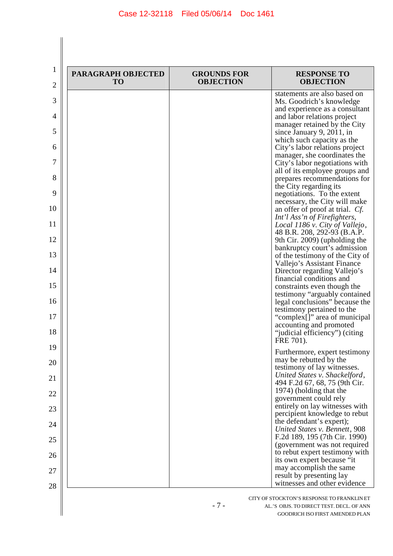| PARAGRAPH OBJECTED<br><b>TO</b> | <b>GROUNDS FOR</b><br><b>OBJECTION</b> | <b>RESPONSE TO</b><br><b>OBJECTION</b>                          |
|---------------------------------|----------------------------------------|-----------------------------------------------------------------|
|                                 |                                        | statements are also based on<br>Ms. Goodrich's knowledge        |
|                                 |                                        | and experience as a consultant                                  |
|                                 |                                        | and labor relations project<br>manager retained by the City     |
|                                 |                                        | since January 9, 2011, in<br>which such capacity as the         |
|                                 |                                        | City's labor relations project                                  |
|                                 |                                        | manager, she coordinates the<br>City's labor negotiations with  |
|                                 |                                        | all of its employee groups and                                  |
|                                 |                                        | prepares recommendations for<br>the City regarding its          |
|                                 |                                        | negotiations. To the extent<br>necessary, the City will make    |
|                                 |                                        | an offer of proof at trial. <i>Cf.</i>                          |
|                                 |                                        | Int'l Ass'n of Firefighters,<br>Local 1186 v. City of Vallejo,  |
|                                 |                                        | 48 B.R. 208, 292-93 (B.A.P.<br>9th Cir. 2009) (upholding the    |
|                                 |                                        | bankruptcy court's admission                                    |
|                                 |                                        | of the testimony of the City of<br>Vallejo's Assistant Finance  |
|                                 |                                        | Director regarding Vallejo's<br>financial conditions and        |
|                                 |                                        | constraints even though the                                     |
|                                 |                                        | testimony "arguably contained<br>legal conclusions" because the |
|                                 |                                        | testimony pertained to the<br>"complex[]" area of municipal     |
|                                 |                                        | accounting and promoted                                         |
|                                 |                                        | "judicial efficiency") (citing<br>FRE 701).                     |
|                                 |                                        | Furthermore, expert testimony                                   |
|                                 |                                        | may be rebutted by the<br>testimony of lay witnesses.           |
|                                 |                                        | United States v. Shackelford,<br>494 F.2d 67, 68, 75 (9th Cir.  |
|                                 |                                        | 1974) (holding that the                                         |
|                                 |                                        | government could rely<br>entirely on lay witnesses with         |
|                                 |                                        | percipient knowledge to rebut<br>the defendant's expert);       |
|                                 |                                        | United States v. Bennett, 908                                   |
|                                 |                                        | F.2d 189, 195 (7th Cir. 1990)<br>(government was not required   |
|                                 |                                        | to rebut expert testimony with                                  |
|                                 |                                        | its own expert because "it<br>may accomplish the same           |
|                                 |                                        | result by presenting lay<br>witnesses and other evidence        |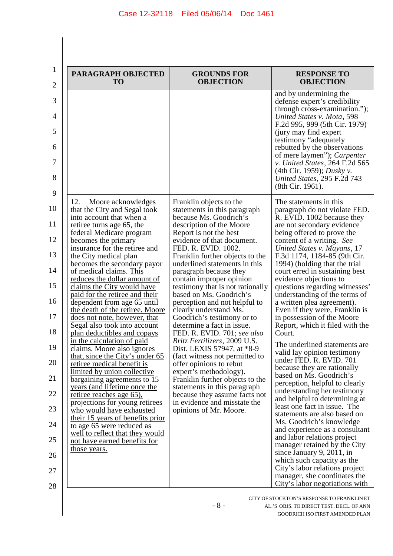| PARAGRAPH OBJECTED<br><b>TO</b>                                                                                                                                                                                                                                                                                                                                                                                                                                                                                                                                                                                                                                                                                                                                                                                                                                                                                                                                                                                                            | <b>GROUNDS FOR</b><br><b>OBJECTION</b>                                                                                                                                                                                                                                                                                                                                                                                                                                                                                                                                                                                                                                                                                                                                                                                                                         | <b>RESPONSE TO</b><br><b>OBJECTION</b>                                                                                                                                                                                                                                                                                                                                                                                                                                                                                                                                                                                                                                                                                                                                                                                                                                                                                                                                                                                                                                                                                                                                      |
|--------------------------------------------------------------------------------------------------------------------------------------------------------------------------------------------------------------------------------------------------------------------------------------------------------------------------------------------------------------------------------------------------------------------------------------------------------------------------------------------------------------------------------------------------------------------------------------------------------------------------------------------------------------------------------------------------------------------------------------------------------------------------------------------------------------------------------------------------------------------------------------------------------------------------------------------------------------------------------------------------------------------------------------------|----------------------------------------------------------------------------------------------------------------------------------------------------------------------------------------------------------------------------------------------------------------------------------------------------------------------------------------------------------------------------------------------------------------------------------------------------------------------------------------------------------------------------------------------------------------------------------------------------------------------------------------------------------------------------------------------------------------------------------------------------------------------------------------------------------------------------------------------------------------|-----------------------------------------------------------------------------------------------------------------------------------------------------------------------------------------------------------------------------------------------------------------------------------------------------------------------------------------------------------------------------------------------------------------------------------------------------------------------------------------------------------------------------------------------------------------------------------------------------------------------------------------------------------------------------------------------------------------------------------------------------------------------------------------------------------------------------------------------------------------------------------------------------------------------------------------------------------------------------------------------------------------------------------------------------------------------------------------------------------------------------------------------------------------------------|
|                                                                                                                                                                                                                                                                                                                                                                                                                                                                                                                                                                                                                                                                                                                                                                                                                                                                                                                                                                                                                                            |                                                                                                                                                                                                                                                                                                                                                                                                                                                                                                                                                                                                                                                                                                                                                                                                                                                                | and by undermining the<br>defense expert's credibility<br>through cross-examination.");<br>United States v. Mota, 598<br>F.2d 995, 999 (5th Cir. 1979)<br>(jury may find expert)<br>testimony "adequately"<br>rebutted by the observations<br>of mere laymen"); <i>Carpenter</i><br>v. United States, 264 F.2d 565<br>(4th Cir. 1959); Dusky v.<br>United States, 295 F.2d 743<br>(8th Cir. 1961).                                                                                                                                                                                                                                                                                                                                                                                                                                                                                                                                                                                                                                                                                                                                                                          |
| 12.<br>Moore acknowledges<br>that the City and Segal took<br>into account that when a<br>retiree turns age 65, the<br>federal Medicare program<br>becomes the primary<br>insurance for the retiree and<br>the City medical plan<br>becomes the secondary payor<br>of medical claims. This<br>reduces the dollar amount of<br>claims the City would have<br>paid for the retiree and their<br>dependent from age 65 until<br>the death of the retiree. Moore<br>does not note, however, that<br><u>Segal also took into account</u><br>plan deductibles and copays<br>in the calculation of paid<br>claims. Moore also ignores<br>that, since the City's under 65<br>retiree medical benefit is<br>limited by union collective<br>bargaining agreements to 15<br>years (and lifetime once the<br>retiree reaches age 65),<br>projections for young retirees<br>who would have exhausted<br>their 15 years of benefits prior<br>to age 65 were reduced as<br>well to reflect that they would<br>not have earned benefits for<br>those years. | Franklin objects to the<br>statements in this paragraph<br>because Ms. Goodrich's<br>description of the Moore<br>Report is not the best<br>evidence of that document.<br>FED. R. EVID. 1002.<br>Franklin further objects to the<br>underlined statements in this<br>paragraph because they<br>contain improper opinion<br>testimony that is not rationally<br>based on Ms. Goodrich's<br>perception and not helpful to<br>clearly understand Ms.<br>Goodrich's testimony or to<br>determine a fact in issue.<br>FED. R. EVID. 701; see also<br>Britz Fertilizers, 2009 U.S.<br>Dist. LEXIS 57947, at *8-9<br>(fact witness not permitted to<br>offer opinions to rebut<br>expert's methodology).<br>Franklin further objects to the<br>statements in this paragraph<br>because they assume facts not<br>in evidence and misstate the<br>opinions of Mr. Moore. | The statements in this<br>paragraph do not violate FED.<br>R. EVID. 1002 because they<br>are not secondary evidence<br>being offered to prove the<br>content of a writing. See<br>United States v. Mayans, 17<br>F.3d 1174, 1184-85 (9th Cir.<br>1994) (holding that the trial<br>court erred in sustaining best<br>evidence objections to<br>questions regarding witnesses'<br>understanding of the terms of<br>a written plea agreement).<br>Even if they were, Franklin is<br>in possession of the Moore<br>Report, which it filed with the<br>Court.<br>The underlined statements are<br>valid lay opinion testimony<br>under FED. R. EVID. 701<br>because they are rationally<br>based on Ms. Goodrich's<br>perception, helpful to clearly<br>understanding her testimony<br>and helpful to determining at<br>least one fact in issue. The<br>statements are also based on<br>Ms. Goodrich's knowledge<br>and experience as a consultant<br>and labor relations project<br>manager retained by the City<br>since January 9, 2011, in<br>which such capacity as the<br>City's labor relations project<br>manager, she coordinates the<br>City's labor negotiations with |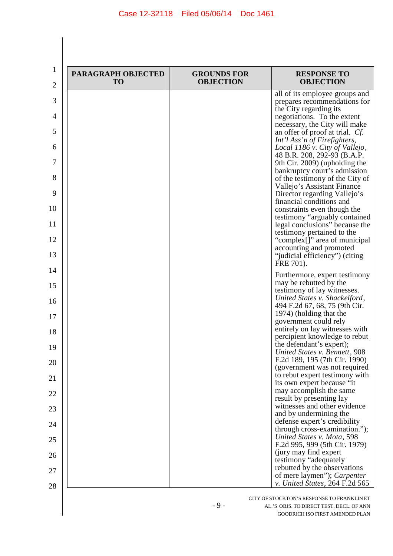| PARAGRAPH OBJECTED<br><b>TO</b> | <b>GROUNDS FOR</b><br><b>OBJECTION</b> | <b>RESPONSE TO</b><br><b>OBJECTION</b>                                                        |
|---------------------------------|----------------------------------------|-----------------------------------------------------------------------------------------------|
|                                 |                                        | all of its employee groups and<br>prepares recommendations for                                |
|                                 |                                        | the City regarding its<br>negotiations. To the extent                                         |
|                                 |                                        | necessary, the City will make<br>an offer of proof at trial. Cf.                              |
|                                 |                                        | Int'l Ass'n of Firefighters,<br>Local 1186 v. City of Vallejo,<br>48 B.R. 208, 292-93 (B.A.P. |
|                                 |                                        | 9th Cir. 2009) (upholding the<br>bankruptcy court's admission                                 |
|                                 |                                        | of the testimony of the City of<br>Vallejo's Assistant Finance                                |
|                                 |                                        | Director regarding Vallejo's<br>financial conditions and                                      |
|                                 |                                        | constraints even though the<br>testimony "arguably contained                                  |
|                                 |                                        | legal conclusions" because the<br>testimony pertained to the                                  |
|                                 |                                        | "complex[]" area of municipal<br>accounting and promoted                                      |
|                                 |                                        | "judicial efficiency") (citing<br>FRE 701).                                                   |
|                                 |                                        | Furthermore, expert testimony<br>may be rebutted by the                                       |
|                                 |                                        | testimony of lay witnesses.<br>United States v. Shackelford,                                  |
|                                 |                                        | 494 F.2d 67, 68, 75 (9th Cir.<br>1974) (holding that the                                      |
|                                 |                                        | government could rely<br>entirely on lay witnesses with                                       |
|                                 |                                        | percipient knowledge to rebut<br>the defendant's expert);                                     |
|                                 |                                        | United States v. Bennett, 908<br>F.2d 189, 195 (7th Cir. 1990)                                |
|                                 |                                        | (government was not required<br>to rebut expert testimony with                                |
|                                 |                                        | its own expert because "it<br>may accomplish the same                                         |
|                                 |                                        | result by presenting lay<br>witnesses and other evidence                                      |
|                                 |                                        | and by undermining the<br>defense expert's credibility                                        |
|                                 |                                        | through cross-examination.");<br>United States v. Mota, 598                                   |
|                                 |                                        | F.2d 995, 999 (5th Cir. 1979)<br>(jury may find expert)                                       |
|                                 |                                        | testimony "adequately<br>rebutted by the observations                                         |
|                                 |                                        | of mere laymen"); <i>Carpenter</i><br>v. United States, 264 F.2d 565                          |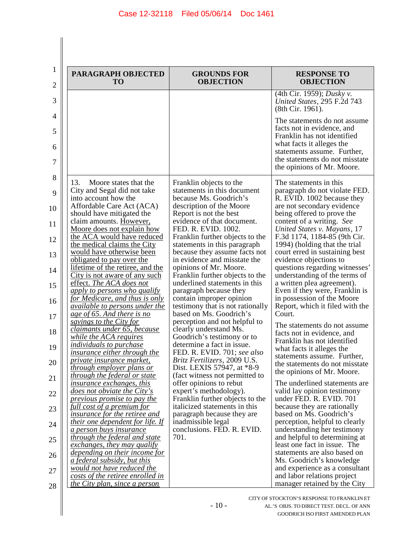| 1<br>2             | PARAGRAPH OBJECTED<br><b>TO</b>                                                                                                                                                                        | <b>GROUNDS FOR</b><br><b>OBJECTION</b>                                                                                                                                                      | <b>RESPONSE TO</b><br><b>OBJECTION</b>                                                                                                                                                                                 |
|--------------------|--------------------------------------------------------------------------------------------------------------------------------------------------------------------------------------------------------|---------------------------------------------------------------------------------------------------------------------------------------------------------------------------------------------|------------------------------------------------------------------------------------------------------------------------------------------------------------------------------------------------------------------------|
| 3                  |                                                                                                                                                                                                        |                                                                                                                                                                                             | (4th Cir. 1959); Dusky v.<br>United States, 295 F.2d 743<br>(8th Cir. 1961).                                                                                                                                           |
| 4<br>5<br>6<br>7   |                                                                                                                                                                                                        |                                                                                                                                                                                             | The statements do not assume.<br>facts not in evidence, and<br>Franklin has not identified<br>what facts it alleges the<br>statements assume. Further,<br>the statements do not misstate<br>the opinions of Mr. Moore. |
| 8<br>9<br>10<br>11 | 13.<br>Moore states that the<br>City and Segal did not take<br>into account how the<br>Affordable Care Act (ACA)<br>should have mitigated the<br>claim amounts. However,<br>Moore does not explain how | Franklin objects to the<br>statements in this document<br>because Ms. Goodrich's<br>description of the Moore<br>Report is not the best<br>evidence of that document.<br>FED. R. EVID. 1002. | The statements in this<br>paragraph do not violate FED.<br>R. EVID. 1002 because they<br>are not secondary evidence<br>being offered to prove the<br>content of a writing. See<br>United States v. Mayans, 17          |
| 12<br>13<br>14     | the ACA would have reduced<br>the medical claims the City<br>would have otherwise been<br>obligated to pay over the<br>lifetime of the retiree, and the                                                | Franklin further objects to the<br>statements in this paragraph<br>because they assume facts not<br>in evidence and misstate the<br>opinions of Mr. Moore.                                  | F.3d 1174, 1184-85 (9th Cir.<br>1994) (holding that the trial<br>court erred in sustaining best<br>evidence objections to<br>questions regarding witnesses'                                                            |
| 15<br>16           | City is not aware of any such<br>effect. The ACA does not<br>apply to persons who qualify<br>for Medicare, and thus is only                                                                            | Franklin further objects to the<br>underlined statements in this<br>paragraph because they<br>contain improper opinion                                                                      | understanding of the terms of<br>a written plea agreement).<br>Even if they were, Franklin is<br>in possession of the Moore                                                                                            |
| 17                 | <i><u>available to persons under the</u></i><br>age of 65. And there is no<br>savings to the City for                                                                                                  | testimony that is not rationally<br>based on Ms. Goodrich's<br>perception and not helpful to                                                                                                | Report, which it filed with the<br>Court.                                                                                                                                                                              |
| 18                 | claimants under 65, because<br><i>while the ACA requires</i>                                                                                                                                           | clearly understand Ms.<br>Goodrich's testimony or to                                                                                                                                        | The statements do not assume<br>facts not in evidence, and<br>Franklin has not identified                                                                                                                              |
| 19                 | <i>individuals to purchase</i><br><i>insurance either through the</i><br><i>private insurance market,</i>                                                                                              | determine a fact in issue.<br>FED. R. EVID. 701; see also<br>Britz Fertilizers, 2009 U.S.                                                                                                   | what facts it alleges the<br>statements assume. Further,<br>the statements do not misstate                                                                                                                             |
| 20<br>21           | through employer plans or<br><i>through the federal or state</i>                                                                                                                                       | Dist. LEXIS 57947, at *8-9<br>(fact witness not permitted to                                                                                                                                | the opinions of Mr. Moore.                                                                                                                                                                                             |
| 22                 | <i>insurance exchanges, this</i><br><i>does not obviate the City's</i><br>previous promise to pay the                                                                                                  | offer opinions to rebut<br>expert's methodology).<br>Franklin further objects to the                                                                                                        | The underlined statements are<br>valid lay opinion testimony<br>under FED. R. EVID. 701                                                                                                                                |
| 23                 | full cost of a premium for<br><i>insurance for the retiree and</i>                                                                                                                                     | italicized statements in this<br>paragraph because they are                                                                                                                                 | because they are rationally<br>based on Ms. Goodrich's                                                                                                                                                                 |
| 24                 | <i>their one dependent for life. If</i><br><i>a person buys insurance</i>                                                                                                                              | inadmissible legal<br>conclusions. FED. R. EVID.                                                                                                                                            | perception, helpful to clearly<br>understanding her testimony                                                                                                                                                          |
| 25                 | through the federal and state<br>exchanges, they may qualify<br>depending on their income for                                                                                                          | 701.                                                                                                                                                                                        | and helpful to determining at<br>least one fact in issue. The<br>statements are also based on                                                                                                                          |
| 26                 | <i>a federal subsidy, but this</i><br>would not have reduced the                                                                                                                                       |                                                                                                                                                                                             | Ms. Goodrich's knowledge<br>and experience as a consultant                                                                                                                                                             |
| 27<br>28           | costs of the retiree enrolled in<br>the City plan, since a person                                                                                                                                      |                                                                                                                                                                                             | and labor relations project<br>manager retained by the City                                                                                                                                                            |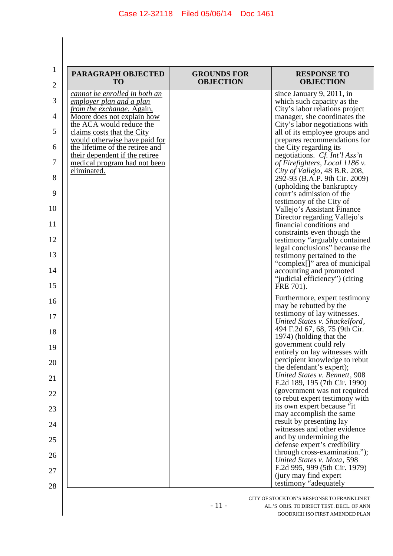| PARAGRAPH OBJECTED<br>T <sub>O</sub>                             | <b>GROUNDS FOR</b><br><b>OBJECTION</b> | <b>RESPONSE TO</b><br><b>OBJECTION</b>                                                          |
|------------------------------------------------------------------|----------------------------------------|-------------------------------------------------------------------------------------------------|
| cannot be enrolled in both an                                    |                                        | since January 9, 2011, in                                                                       |
| employer plan and a plan<br>from the exchange. Again,            |                                        | which such capacity as the<br>City's labor relations project                                    |
| Moore does not explain how                                       |                                        | manager, she coordinates the                                                                    |
| the ACA would reduce the<br>claims costs that the City           |                                        | City's labor negotiations with<br>all of its employee groups and                                |
| would otherwise have paid for<br>the lifetime of the retiree and |                                        | prepares recommendations for<br>the City regarding its                                          |
| their dependent if the retiree<br>medical program had not been   |                                        | negotiations. Cf. Int'l Ass'n<br>of Firefighters, Local 1186 v.                                 |
| <u>eliminated.</u>                                               |                                        | City of Vallejo, 48 B.R. 208,<br>292-93 (B.A.P. 9th Cir. 2009)                                  |
|                                                                  |                                        | (upholding the bankruptcy<br>court's admission of the                                           |
|                                                                  |                                        | testimony of the City of<br>Vallejo's Assistant Finance                                         |
|                                                                  |                                        | Director regarding Vallejo's<br>financial conditions and                                        |
|                                                                  |                                        | constraints even though the<br>testimony "arguably contained"<br>legal conclusions" because the |
|                                                                  |                                        | testimony pertained to the                                                                      |
|                                                                  |                                        | "complex[]" area of municipal<br>accounting and promoted<br>"judicial efficiency") (citing      |
|                                                                  |                                        | FRE 701).                                                                                       |
|                                                                  |                                        | Furthermore, expert testimony<br>may be rebutted by the                                         |
|                                                                  |                                        | testimony of lay witnesses.<br>United States v. Shackelford,                                    |
|                                                                  |                                        | 494 F.2d 67, 68, 75 (9th Cir.<br>1974) (holding that the<br>government could rely               |
|                                                                  |                                        | entirely on lay witnesses with<br>percipient knowledge to rebut                                 |
|                                                                  |                                        | the defendant's expert);<br>United States v. Bennett, 908                                       |
|                                                                  |                                        | F.2d 189, 195 (7th Cir. 1990)<br>(government was not required                                   |
|                                                                  |                                        | to rebut expert testimony with<br>its own expert because "it<br>may accomplish the same         |
|                                                                  |                                        | result by presenting lay                                                                        |
|                                                                  |                                        | witnesses and other evidence<br>and by undermining the                                          |
|                                                                  |                                        | defense expert's credibility<br>through cross-examination.");                                   |
|                                                                  |                                        | United States v. Mota, 598<br>F.2d 995, 999 (5th Cir. 1979)                                     |
|                                                                  |                                        | (jury may find expert<br>testimony "adequately"                                                 |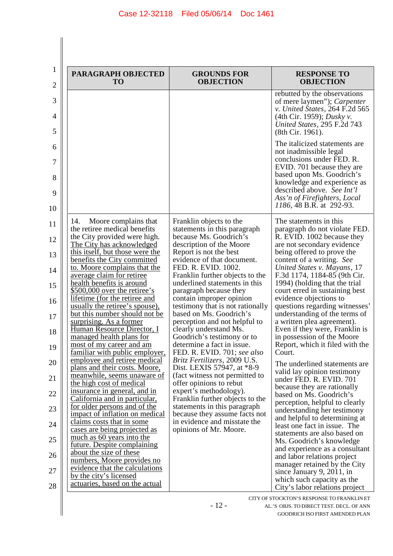| PARAGRAPH OBJECTED<br><b>TO</b>                                                                                                                                                                                                                                                                                                                                                                                                                                                                                                                                                                                                                                                                                                                                                                                                                                                                                                                                                                                                                                                          | <b>GROUNDS FOR</b><br><b>OBJECTION</b>                                                                                                                                                                                                                                                                                                                                                                                                                                                                                                                                                                                                                                                                                                                                                                                                                         | <b>RESPONSE TO</b><br><b>OBJECTION</b>                                                                                                                                                                                                                                                                                                                                                                                                                                                                                                                                                                                                                                                                                                                                                                                                                                                                                                                                                                                                    |
|------------------------------------------------------------------------------------------------------------------------------------------------------------------------------------------------------------------------------------------------------------------------------------------------------------------------------------------------------------------------------------------------------------------------------------------------------------------------------------------------------------------------------------------------------------------------------------------------------------------------------------------------------------------------------------------------------------------------------------------------------------------------------------------------------------------------------------------------------------------------------------------------------------------------------------------------------------------------------------------------------------------------------------------------------------------------------------------|----------------------------------------------------------------------------------------------------------------------------------------------------------------------------------------------------------------------------------------------------------------------------------------------------------------------------------------------------------------------------------------------------------------------------------------------------------------------------------------------------------------------------------------------------------------------------------------------------------------------------------------------------------------------------------------------------------------------------------------------------------------------------------------------------------------------------------------------------------------|-------------------------------------------------------------------------------------------------------------------------------------------------------------------------------------------------------------------------------------------------------------------------------------------------------------------------------------------------------------------------------------------------------------------------------------------------------------------------------------------------------------------------------------------------------------------------------------------------------------------------------------------------------------------------------------------------------------------------------------------------------------------------------------------------------------------------------------------------------------------------------------------------------------------------------------------------------------------------------------------------------------------------------------------|
|                                                                                                                                                                                                                                                                                                                                                                                                                                                                                                                                                                                                                                                                                                                                                                                                                                                                                                                                                                                                                                                                                          |                                                                                                                                                                                                                                                                                                                                                                                                                                                                                                                                                                                                                                                                                                                                                                                                                                                                | rebutted by the observations<br>of mere laymen"); <i>Carpenter</i><br>v. United States, 264 F.2d 565<br>(4th Cir. 1959); <i>Dusky v</i> .<br>United States, 295 F.2d 743<br>(8th Cir. 1961).                                                                                                                                                                                                                                                                                                                                                                                                                                                                                                                                                                                                                                                                                                                                                                                                                                              |
|                                                                                                                                                                                                                                                                                                                                                                                                                                                                                                                                                                                                                                                                                                                                                                                                                                                                                                                                                                                                                                                                                          |                                                                                                                                                                                                                                                                                                                                                                                                                                                                                                                                                                                                                                                                                                                                                                                                                                                                | The italicized statements are<br>not inadmissible legal<br>conclusions under FED. R.<br>EVID. 701 because they are<br>based upon Ms. Goodrich's<br>knowledge and experience as<br>described above. See Int'l<br>Ass'n of Firefighters, Local<br>1186, 48 B.R. at 292-93.                                                                                                                                                                                                                                                                                                                                                                                                                                                                                                                                                                                                                                                                                                                                                                  |
| Moore complains that<br>14.<br>the retiree medical benefits<br>the City provided were high.<br>The City has acknowledged<br>this itself, but those were the<br>benefits the City committed<br>to. Moore complains that the<br>average claim for retiree<br>health benefits is around<br>\$500,000 over the retiree's<br>lifetime (for the retiree and<br>usually the retiree's spouse),<br>but this number should not be<br>surprising. As a former<br>Human Resource Director, I<br>managed health plans for<br>most of my career and am<br>familiar with public employer,<br>employee and retiree medical<br>plans and their costs. Moore,<br>meanwhile, seems unaware of<br>the high cost of medical<br>insurance in general, and in<br>California and in particular,<br>for older persons and of the<br>impact of inflation on medical<br>claims costs that in some<br>cases are being projected as<br>much as 60 years into the<br>future. Despite complaining<br>about the size of these<br>numbers, Moore provides no<br>evidence that the calculations<br>by the city's licensed | Franklin objects to the<br>statements in this paragraph<br>because Ms. Goodrich's<br>description of the Moore<br>Report is not the best<br>evidence of that document.<br>FED. R. EVID. 1002.<br>Franklin further objects to the<br>underlined statements in this<br>paragraph because they<br>contain improper opinion<br>testimony that is not rationally<br>based on Ms. Goodrich's<br>perception and not helpful to<br>clearly understand Ms.<br>Goodrich's testimony or to<br>determine a fact in issue.<br>FED. R. EVID. 701; see also<br>Britz Fertilizers, 2009 U.S.<br>Dist. LEXIS 57947, at *8-9<br>(fact witness not permitted to<br>offer opinions to rebut<br>expert's methodology).<br>Franklin further objects to the<br>statements in this paragraph<br>because they assume facts not<br>in evidence and misstate the<br>opinions of Mr. Moore. | The statements in this<br>paragraph do not violate FED.<br>R. EVID. 1002 because they<br>are not secondary evidence<br>being offered to prove the<br>content of a writing. See<br>United States v. Mayans, 17<br>F.3d 1174, 1184-85 (9th Cir.<br>1994) (holding that the trial<br>court erred in sustaining best<br>evidence objections to<br>questions regarding witnesses'<br>understanding of the terms of<br>a written plea agreement).<br>Even if they were, Franklin is<br>in possession of the Moore<br>Report, which it filed with the<br>Court.<br>The underlined statements are<br>valid lay opinion testimony<br>under FED. R. EVID. 701<br>because they are rationally<br>based on Ms. Goodrich's<br>perception, helpful to clearly<br>understanding her testimony<br>and helpful to determining at<br>least one fact in issue. The<br>statements are also based on<br>Ms. Goodrich's knowledge<br>and experience as a consultant<br>and labor relations project<br>manager retained by the City<br>since January 9, 2011, in |

- 12 -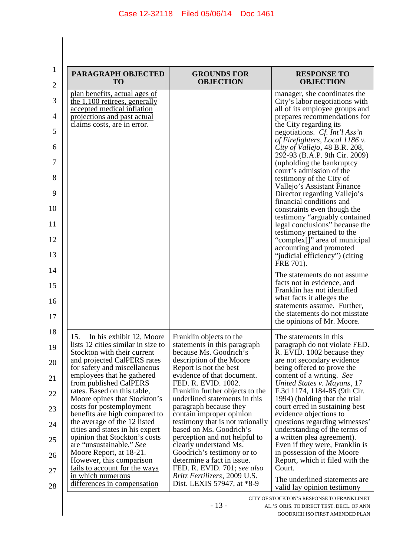| PARAGRAPH OBJECTED<br>TO                                          | <b>GROUNDS FOR</b><br><b>OBJECTION</b>                             | <b>RESPONSE TO</b><br><b>OBJECTION</b>                                                           |
|-------------------------------------------------------------------|--------------------------------------------------------------------|--------------------------------------------------------------------------------------------------|
| plan benefits, actual ages of                                     |                                                                    | manager, she coordinates the                                                                     |
| the 1,100 retirees, generally<br>accepted medical inflation       |                                                                    | City's labor negotiations with<br>all of its employee groups and                                 |
| projections and past actual                                       |                                                                    | prepares recommendations for                                                                     |
| claims costs, are in error.                                       |                                                                    | the City regarding its<br>negotiations. Cf. Int'l Ass'n                                          |
|                                                                   |                                                                    | of Firefighters, Local 1186 v.<br>City of Vallejo, 48 B.R. 208,<br>292-93 (B.A.P. 9th Cir. 2009) |
|                                                                   |                                                                    | (upholding the bankruptcy<br>court's admission of the                                            |
|                                                                   |                                                                    | testimony of the City of<br>Vallejo's Assistant Finance                                          |
|                                                                   |                                                                    | Director regarding Vallejo's<br>financial conditions and                                         |
|                                                                   |                                                                    | constraints even though the<br>testimony "arguably contained                                     |
|                                                                   |                                                                    | legal conclusions" because the<br>testimony pertained to the<br>"complex[]" area of municipal    |
|                                                                   |                                                                    | accounting and promoted<br>"judicial efficiency") (citing                                        |
|                                                                   |                                                                    | FRE 701).                                                                                        |
|                                                                   |                                                                    | The statements do not assume<br>facts not in evidence, and<br>Franklin has not identified        |
|                                                                   |                                                                    | what facts it alleges the<br>statements assume. Further,                                         |
|                                                                   |                                                                    | the statements do not misstate<br>the opinions of Mr. Moore.                                     |
| In his exhibit 12, Moore<br>15.                                   | Franklin objects to the                                            | The statements in this                                                                           |
| lists 12 cities similar in size to<br>Stockton with their current | statements in this paragraph<br>because Ms. Goodrich's             | paragraph do not violate FED.<br>R. EVID. 1002 because they                                      |
| and projected CalPERS rates<br>for safety and miscellaneous       | description of the Moore<br>Report is not the best                 | are not secondary evidence<br>being offered to prove the                                         |
| employees that he gathered<br>from published CalPERS              | evidence of that document.<br>FED. R. EVID. 1002.                  | content of a writing. See<br>United States v. Mayans, 17                                         |
| rates. Based on this table,                                       | Franklin further objects to the                                    | F.3d 1174, 1184-85 (9th Cir.                                                                     |
| Moore opines that Stockton's<br>costs for postemployment          | underlined statements in this<br>paragraph because they            | 1994) (holding that the trial<br>court erred in sustaining best                                  |
| benefits are high compared to<br>the average of the 12 listed     | contain improper opinion<br>testimony that is not rationally       | evidence objections to<br>questions regarding witnesses'                                         |
| cities and states in his expert<br>opinion that Stockton's costs  | based on Ms. Goodrich's<br>perception and not helpful to           | understanding of the terms of<br>a written plea agreement).                                      |
| are "unsustainable." See<br>Moore Report, at 18-21.               | clearly understand Ms.<br>Goodrich's testimony or to               | Even if they were, Franklin is<br>in possession of the Moore                                     |
| However, this comparison                                          | determine a fact in issue.                                         | Report, which it filed with the                                                                  |
| <u>fails to account for the ways</u><br>in which numerous         | FED. R. EVID. 701; see also<br><i>Britz Fertilizers, 2009 U.S.</i> | Court.                                                                                           |
| differences in compensation                                       | Dist. LEXIS 57947, at *8-9                                         | The underlined statements are<br>valid lay opinion testimony                                     |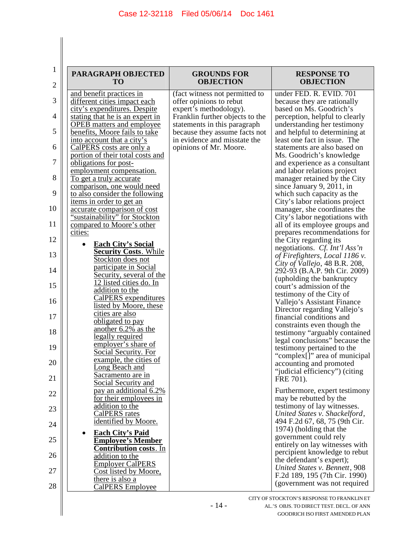$\begin{array}{c} \hline \end{array}$  $\parallel$ 

| $\mathbf{1}$   | PARAGRAPH OBJECTED                                                | <b>GROUNDS FOR</b>                                            | <b>RESPONSE TO</b>                                             |
|----------------|-------------------------------------------------------------------|---------------------------------------------------------------|----------------------------------------------------------------|
| $\mathfrak{2}$ | <b>TO</b>                                                         | <b>OBJECTION</b>                                              | <b>OBJECTION</b>                                               |
|                | and benefit practices in                                          | (fact witness not permitted to                                | under FED. R. EVID. 701                                        |
| 3              | different cities impact each<br>city's expenditures. Despite      | offer opinions to rebut<br>expert's methodology).             | because they are rationally<br>based on Ms. Goodrich's         |
| 4              | stating that he is an expert in                                   | Franklin further objects to the                               | perception, helpful to clearly                                 |
| 5              | <b>OPEB</b> matters and employee<br>benefits, Moore fails to take | statements in this paragraph<br>because they assume facts not | understanding her testimony<br>and helpful to determining at   |
|                | into account that a city's                                        | in evidence and misstate the                                  | least one fact in issue. The                                   |
| 6              | CalPERS costs are only a                                          | opinions of Mr. Moore.                                        | statements are also based on                                   |
| 7              | portion of their total costs and<br>obligations for post-         |                                                               | Ms. Goodrich's knowledge<br>and experience as a consultant     |
|                | employment compensation.                                          |                                                               | and labor relations project                                    |
| 8              | To get a truly accurate<br>comparison, one would need             |                                                               | manager retained by the City<br>since January 9, 2011, in      |
| 9              | to also consider the following                                    |                                                               | which such capacity as the                                     |
| 10             | <u>items in order to get an</u>                                   |                                                               | City's labor relations project                                 |
|                | accurate comparison of cost<br>"sustainability" for Stockton      |                                                               | manager, she coordinates the<br>City's labor negotiations with |
| 11             | compared to Moore's other                                         |                                                               | all of its employee groups and                                 |
| 12             | cities:                                                           |                                                               | prepares recommendations for<br>the City regarding its         |
|                | <b>Each City's Social</b><br><b>Security Costs. While</b>         |                                                               | negotiations. Cf. Int'l Ass'n                                  |
| 13             | Stockton does not                                                 |                                                               | of Firefighters, Local 1186 v.                                 |
| 14             | participate in Social                                             |                                                               | City of Vallejo, 48 B.R. 208,<br>292-93 (B.A.P. 9th Cir. 2009) |
|                | Security, several of the<br>12 listed cities do. In               |                                                               | (upholding the bankruptcy                                      |
| 15             | addition to the                                                   |                                                               | court's admission of the<br>testimony of the City of           |
| 16             | <b>CalPERS</b> expenditures<br>listed by Moore, these             |                                                               | Vallejo's Assistant Finance                                    |
| 17             | cities are also                                                   |                                                               | Director regarding Vallejo's<br>financial conditions and       |
|                | obligated to pay<br>another 6.2% as the                           |                                                               | constraints even though the                                    |
| 18             | legally required                                                  |                                                               | testimony "arguably contained                                  |
| 19             | employer's share of                                               |                                                               | legal conclusions" because the<br>testimony pertained to the   |
|                | Social Security. For<br>example, the cities of                    |                                                               | "complex[]" area of municipal                                  |
| 20             | ong Beach and                                                     |                                                               | accounting and promoted<br>"judicial efficiency") (citing      |
| 21             | Sacramento are in<br>Social Security and                          |                                                               | FRE 701).                                                      |
| 22             | pay an additional 6.2%                                            |                                                               | Furthermore, expert testimony                                  |
|                | for their employees in                                            |                                                               | may be rebutted by the                                         |
| 23             | addition to the<br><b>CalPERS</b> rates                           |                                                               | testimony of lay witnesses.<br>United States v. Shackelford,   |
| 24             | identified by Moore.                                              |                                                               | 494 F.2d 67, 68, 75 (9th Cir.                                  |
|                | <b>Each City's Paid</b>                                           |                                                               | 1974) (holding that the<br>government could rely               |
| 25             | <b>Employee's Member</b><br><b>Contribution costs.</b> In         |                                                               | entirely on lay witnesses with                                 |
| 26             | addition to the                                                   |                                                               | percipient knowledge to rebut                                  |
|                | <b>Employer CalPERS</b>                                           |                                                               | the defendant's expert);<br>United States v. Bennett, 908      |
| 27             | Cost listed by Moore,<br>there is also a                          |                                                               | F.2d 189, 195 (7th Cir. 1990)                                  |
| 28             | CalPERS Employee                                                  |                                                               | (government was not required                                   |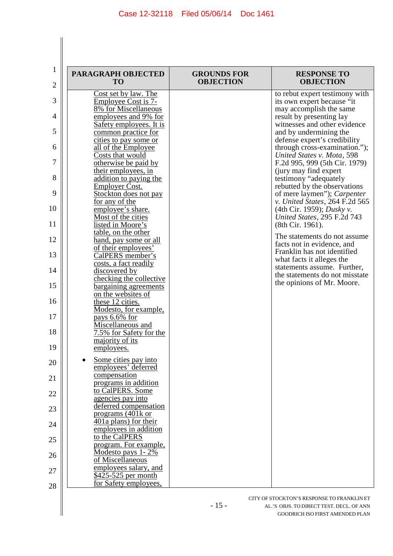$\begin{array}{c} \hline \end{array}$ 

| $\mathbf{1}$   |                                                |                                        |                                                             |
|----------------|------------------------------------------------|----------------------------------------|-------------------------------------------------------------|
| $\mathfrak{2}$ | PARAGRAPH OBJECTED<br><b>TO</b>                | <b>GROUNDS FOR</b><br><b>OBJECTION</b> | <b>RESPONSE TO</b><br><b>OBJECTION</b>                      |
|                | Cost set by law. The                           |                                        | to rebut expert testimony with                              |
| 3              | Employee Cost is 7-                            |                                        | its own expert because "it                                  |
| 4              | 8% for Miscellaneous<br>employees and 9% for   |                                        | may accomplish the same<br>result by presenting lay         |
|                | Safety employees. It is                        |                                        | witnesses and other evidence                                |
| 5              | common practice for                            |                                        | and by undermining the                                      |
|                | cities to pay some or                          |                                        | defense expert's credibility                                |
| 6              | all of the Employee<br>Costs that would        |                                        | through cross-examination.");<br>United States v. Mota, 598 |
| 7              | otherwise be paid by                           |                                        | F.2d 995, 999 (5th Cir. 1979)                               |
|                | their employees, in                            |                                        | (jury may find expert)                                      |
| 8              | addition to paying the                         |                                        | testimony "adequately                                       |
| 9              | <b>Employer Cost.</b><br>Stockton does not pay |                                        | rebutted by the observations<br>of mere laymen"); Carpenter |
|                | for any of the                                 |                                        | v. United States, 264 F.2d 565                              |
| 10             | employee's share.                              |                                        | (4th Cir. 1959); Dusky v.                                   |
| 11             | Most of the cities<br>listed in Moore's        |                                        | United States, 295 F.2d 743                                 |
|                | table, on the other                            |                                        | (8th Cir. 1961).                                            |
| 12             | hand, pay some or all                          |                                        | The statements do not assume                                |
|                | of their employees'                            |                                        | facts not in evidence, and<br>Franklin has not identified   |
| 13             | CalPERS member's                               |                                        | what facts it alleges the                                   |
| 14             | costs, a fact readily<br>discovered by         |                                        | statements assume. Further,                                 |
|                | checking the collective                        |                                        | the statements do not misstate                              |
| 15             | bargaining agreements                          |                                        | the opinions of Mr. Moore.                                  |
| 16             | on the websites of                             |                                        |                                                             |
|                | these 12 cities.<br>Modesto, for example,      |                                        |                                                             |
| 17             | pays 6.6% for                                  |                                        |                                                             |
|                | Miscellaneous and                              |                                        |                                                             |
| 18             | 7.5% for Safety for the<br>majority of its     |                                        |                                                             |
| 19             | employees.                                     |                                        |                                                             |
|                | Some cities pay into                           |                                        |                                                             |
| 20             | employees' deferred                            |                                        |                                                             |
| 21             | compensation                                   |                                        |                                                             |
|                | programs in addition<br>to CalPERS. Some       |                                        |                                                             |
| 22             | <u>agencies</u> pay into                       |                                        |                                                             |
| 23             | deferred compensation                          |                                        |                                                             |
|                | programs (401k or                              |                                        |                                                             |
| 24             | 401a plans) for their                          |                                        |                                                             |
|                | employees in addition<br>to the CalPERS        |                                        |                                                             |
| 25             | program. For example,                          |                                        |                                                             |
| 26             | Modesto pays 1-2%                              |                                        |                                                             |
|                | of Miscellaneous<br>employees salary, and      |                                        |                                                             |
| 27             | \$425-525 per month                            |                                        |                                                             |
| 28             | for Safety employees,                          |                                        |                                                             |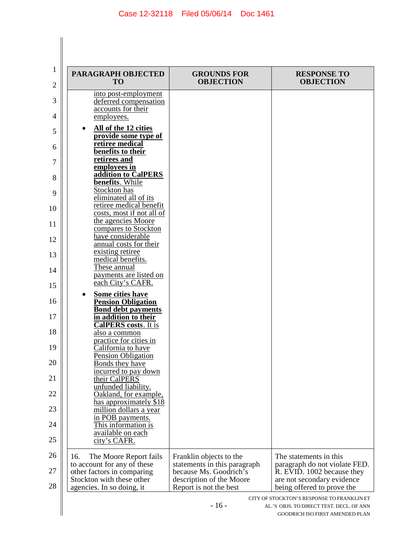$\begin{array}{c} \hline \end{array}$ 

| PARAGRAPH OBJECTED<br><b>TO</b>                                                                                                                      | <b>GROUNDS FOR</b><br><b>OBJECTION</b>                                                                                                  | <b>RESPONSE TO</b><br><b>OBJECTION</b>                                                                                                            |
|------------------------------------------------------------------------------------------------------------------------------------------------------|-----------------------------------------------------------------------------------------------------------------------------------------|---------------------------------------------------------------------------------------------------------------------------------------------------|
| into post-employment<br>deferred compensation<br>accounts for their                                                                                  |                                                                                                                                         |                                                                                                                                                   |
| employees.<br>All of the 12 cities                                                                                                                   |                                                                                                                                         |                                                                                                                                                   |
| provide some type of<br>retiree medical                                                                                                              |                                                                                                                                         |                                                                                                                                                   |
| benefits to their<br>retirees and                                                                                                                    |                                                                                                                                         |                                                                                                                                                   |
| employees in<br>addition to CalPERS<br>benefits. While                                                                                               |                                                                                                                                         |                                                                                                                                                   |
| Stockton has<br>eliminated all of its                                                                                                                |                                                                                                                                         |                                                                                                                                                   |
| retiree medical benefit<br>costs, most if not all of                                                                                                 |                                                                                                                                         |                                                                                                                                                   |
| the agencies Moore<br>compares to Stockton                                                                                                           |                                                                                                                                         |                                                                                                                                                   |
| have considerable<br>annual costs for their                                                                                                          |                                                                                                                                         |                                                                                                                                                   |
| existing retiree<br>medical benefits.                                                                                                                |                                                                                                                                         |                                                                                                                                                   |
| These annual<br>payments are listed on                                                                                                               |                                                                                                                                         |                                                                                                                                                   |
| each City's CAFR.<br>Some cities have                                                                                                                |                                                                                                                                         |                                                                                                                                                   |
| <b>Pension Obligation</b><br><b>Bond debt payments</b>                                                                                               |                                                                                                                                         |                                                                                                                                                   |
| in addition to their<br><b>CalPERS</b> costs. It is                                                                                                  |                                                                                                                                         |                                                                                                                                                   |
| also a common<br>practice for cities in                                                                                                              |                                                                                                                                         |                                                                                                                                                   |
| California to have<br>Pension Obligation                                                                                                             |                                                                                                                                         |                                                                                                                                                   |
| <b>Bonds they have</b><br>incurred to pay down                                                                                                       |                                                                                                                                         |                                                                                                                                                   |
| their CalPERS<br>unfunded liability.<br>Oakland, for example,                                                                                        |                                                                                                                                         |                                                                                                                                                   |
| has approximately \$18<br>million dollars a year                                                                                                     |                                                                                                                                         |                                                                                                                                                   |
| in POB payments.<br>This information is                                                                                                              |                                                                                                                                         |                                                                                                                                                   |
| available on each<br>city's CAFR.                                                                                                                    |                                                                                                                                         |                                                                                                                                                   |
| The Moore Report fails<br>16.<br>to account for any of these<br>other factors in comparing<br>Stockton with these other<br>agencies. In so doing, it | Franklin objects to the<br>statements in this paragraph<br>because Ms. Goodrich's<br>description of the Moore<br>Report is not the best | The statements in this<br>paragraph do not violate FED.<br>R. EVID. 1002 because they<br>are not secondary evidence<br>being offered to prove the |
|                                                                                                                                                      | $-16-$                                                                                                                                  | CITY OF STOCKTON'S RESPONSE TO FRANKLIN ET<br>AL.'S OBJS. TO DIRECT TEST. DECL. OF ANN<br>GOODRICH ISO FIRST AMENDED PLAN                         |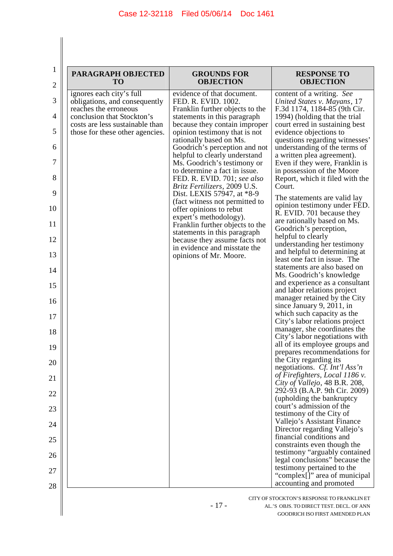∥

| PARAGRAPH OBJECTED<br><b>TO</b>                                    | <b>GROUNDS FOR</b><br><b>OBJECTION</b>                                                       | <b>RESPONSE TO</b><br><b>OBJECTION</b>                                                 |
|--------------------------------------------------------------------|----------------------------------------------------------------------------------------------|----------------------------------------------------------------------------------------|
| ignores each city's full<br>obligations, and consequently          | evidence of that document.<br>FED. R. EVID. 1002.                                            | content of a writing. See<br>United States v. Mayans, 17                               |
| reaches the erroneous<br>conclusion that Stockton's                | Franklin further objects to the<br>statements in this paragraph                              | F.3d 1174, 1184-85 (9th Cir.<br>1994) (holding that the trial                          |
| costs are less sustainable than<br>those for these other agencies. | because they contain improper<br>opinion testimony that is not                               | court erred in sustaining best<br>evidence objections to                               |
|                                                                    | rationally based on Ms.<br>Goodrich's perception and not                                     | questions regarding witnesses'<br>understanding of the terms of                        |
|                                                                    | helpful to clearly understand<br>Ms. Goodrich's testimony or                                 | a written plea agreement).<br>Even if they were, Franklin is                           |
|                                                                    | to determine a fact in issue.<br>FED. R. EVID. 701; see also<br>Britz Fertilizers, 2009 U.S. | in possession of the Moore<br>Report, which it filed with the<br>Court.                |
|                                                                    | Dist. LEXIS 57947, at *8-9<br>(fact witness not permitted to                                 | The statements are valid lay                                                           |
|                                                                    | offer opinions to rebut<br>expert's methodology).                                            | opinion testimony under FED.<br>R. EVID. 701 because they                              |
|                                                                    | Franklin further objects to the<br>statements in this paragraph                              | are rationally based on Ms.<br>Goodrich's perception,                                  |
|                                                                    | because they assume facts not<br>in evidence and misstate the                                | helpful to clearly<br>understanding her testimony                                      |
|                                                                    | opinions of Mr. Moore.                                                                       | and helpful to determining at<br>least one fact in issue. The                          |
|                                                                    |                                                                                              | statements are also based on<br>Ms. Goodrich's knowledge                               |
|                                                                    |                                                                                              | and experience as a consultant<br>and labor relations project                          |
|                                                                    |                                                                                              | manager retained by the City<br>since January 9, 2011, in                              |
|                                                                    |                                                                                              | which such capacity as the<br>City's labor relations project                           |
|                                                                    |                                                                                              | manager, she coordinates the<br>City's labor negotiations with                         |
|                                                                    |                                                                                              | all of its employee groups and<br>prepares recommendations for                         |
|                                                                    |                                                                                              | the City regarding its<br>negotiations. Cf. Int'l Ass'n                                |
|                                                                    |                                                                                              | of Firefighters, Local 1186 v.<br>City of Vallejo, 48 B.R. 208,                        |
|                                                                    |                                                                                              | 292-93 (B.A.P. 9th Cir. 2009)<br>(upholding the bankruptcy                             |
|                                                                    |                                                                                              | court's admission of the<br>testimony of the City of                                   |
|                                                                    |                                                                                              | Vallejo's Assistant Finance<br>Director regarding Vallejo's                            |
|                                                                    |                                                                                              | financial conditions and<br>constraints even though the                                |
|                                                                    |                                                                                              | testimony "arguably contained<br>legal conclusions" because the                        |
|                                                                    |                                                                                              | testimony pertained to the<br>"complex[]" area of municipal<br>accounting and promoted |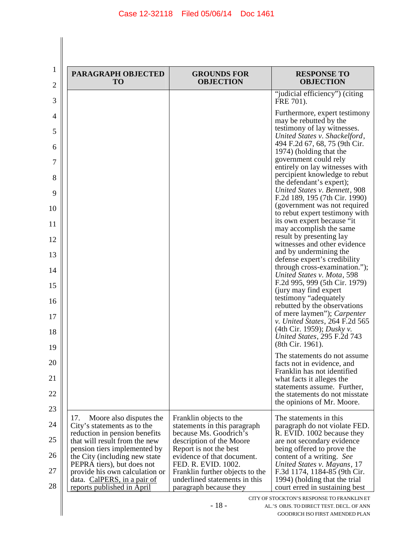| PARAGRAPH OBJECTED<br><b>TO</b>                                                                | <b>GROUNDS FOR</b><br><b>OBJECTION</b>                                                     | <b>RESPONSE TO</b><br><b>OBJECTION</b>                                                          |
|------------------------------------------------------------------------------------------------|--------------------------------------------------------------------------------------------|-------------------------------------------------------------------------------------------------|
|                                                                                                |                                                                                            | "judicial efficiency") (citing<br>FRE 701).                                                     |
|                                                                                                |                                                                                            | Furthermore, expert testimony<br>may be rebutted by the                                         |
|                                                                                                |                                                                                            | testimony of lay witnesses.<br>United States v. Shackelford,<br>494 F.2d 67, 68, 75 (9th Cir.   |
|                                                                                                |                                                                                            | 1974) (holding that the<br>government could rely                                                |
|                                                                                                |                                                                                            | entirely on lay witnesses with<br>percipient knowledge to rebut<br>the defendant's expert);     |
|                                                                                                |                                                                                            | United States v. Bennett, 908<br>F.2d 189, 195 (7th Cir. 1990)                                  |
|                                                                                                |                                                                                            | (government was not required<br>to rebut expert testimony with<br>its own expert because "it"   |
|                                                                                                |                                                                                            | may accomplish the same<br>result by presenting lay                                             |
|                                                                                                |                                                                                            | witnesses and other evidence<br>and by undermining the<br>defense expert's credibility          |
|                                                                                                |                                                                                            | through cross-examination.");<br>United States v. Mota, 598                                     |
|                                                                                                |                                                                                            | F.2d 995, 999 (5th Cir. 1979)<br>(jury may find expert)<br>testimony "adequately                |
|                                                                                                |                                                                                            | rebutted by the observations<br>of mere laymen"); <i>Carpenter</i>                              |
|                                                                                                |                                                                                            | v. United States, 264 F.2d 565<br>(4th Cir. 1959); Dusky v.                                     |
|                                                                                                |                                                                                            | United States, 295 F.2d 743<br>(8th Cir. 1961).                                                 |
|                                                                                                |                                                                                            | The statements do not assume<br>facts not in evidence, and<br>Franklin has not identified       |
|                                                                                                |                                                                                            | what facts it alleges the<br>statements assume. Further,                                        |
|                                                                                                |                                                                                            | the statements do not misstate<br>the opinions of Mr. Moore.                                    |
| 17.<br>Moore also disputes the<br>City's statements as to the                                  | Franklin objects to the<br>statements in this paragraph                                    | The statements in this<br>paragraph do not violate FED.                                         |
| reduction in pension benefits<br>that will result from the new<br>pension tiers implemented by | because Ms. Goodrich's<br>description of the Moore<br>Report is not the best               | R. EVID. 1002 because they<br>are not secondary evidence<br>being offered to prove the          |
| the City (including new state)<br>PEPRA tiers), but does not                                   | evidence of that document.<br>FED. R. EVID. 1002.                                          | content of a writing. See<br>United States v. Mayans, 17                                        |
| provide his own calculation or<br>data. CalPERS, in a pair of<br>reports published in April    | Franklin further objects to the<br>underlined statements in this<br>paragraph because they | F.3d 1174, 1184-85 (9th Cir.<br>1994) (holding that the trial<br>court erred in sustaining best |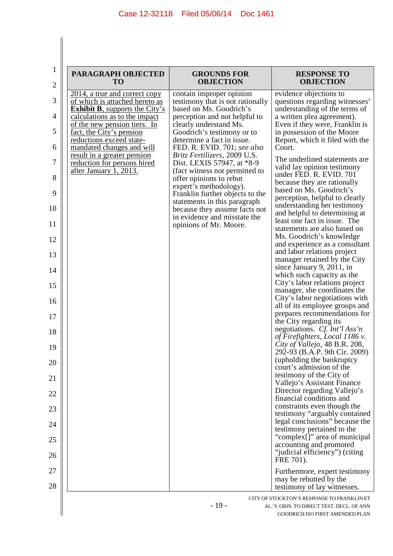| <b>PARAGRAPH OBJECTED</b><br><b>TO</b>                                                      | <b>GROUNDS FOR</b><br><b>OBJECTION</b>                                                       | <b>RESPONSE TO</b><br><b>OBJECTION</b>                                                     |
|---------------------------------------------------------------------------------------------|----------------------------------------------------------------------------------------------|--------------------------------------------------------------------------------------------|
| 2014, a true and correct copy<br>of which is attached hereto as                             | contain improper opinion<br>testimony that is not rationally                                 | evidence objections to<br>questions regarding witnesses'                                   |
| <b>Exhibit B</b> , supports the City's<br>calculations as to the impact                     | based on Ms. Goodrich's<br>perception and not helpful to                                     | understanding of the terms of<br>a written plea agreement).                                |
| of the new pension tiers. In<br>fact, the City's pension                                    | clearly understand Ms.<br>Goodrich's testimony or to                                         | Even if they were, Franklin is<br>in possession of the Moore                               |
| reductions exceed state-<br>mandated changes and will                                       | determine a fact in issue.<br>FED. R. EVID. 701; see also                                    | Report, which it filed with the<br>Court.                                                  |
| <u>result in a greater pension</u><br>reduction for persons hired<br>after January 1, 2013. | Britz Fertilizers, 2009 U.S.<br>Dist. LEXIS 57947, at *8-9<br>(fact witness not permitted to | The underlined statements are<br>valid lay opinion testimony<br>under FED. R. EVID. 701    |
|                                                                                             | offer opinions to rebut<br>expert's methodology).                                            | because they are rationally                                                                |
|                                                                                             | Franklin further objects to the<br>statements in this paragraph                              | based on Ms. Goodrich's<br>perception, helpful to clearly<br>understanding her testimony   |
|                                                                                             | because they assume facts not<br>in evidence and misstate the<br>opinions of Mr. Moore.      | and helpful to determining at<br>least one fact in issue. The                              |
|                                                                                             |                                                                                              | statements are also based on<br>Ms. Goodrich's knowledge<br>and experience as a consultant |
|                                                                                             |                                                                                              | and labor relations project<br>manager retained by the City                                |
|                                                                                             |                                                                                              | since January 9, 2011, in                                                                  |
|                                                                                             |                                                                                              | which such capacity as the<br>City's labor relations project                               |
|                                                                                             |                                                                                              | manager, she coordinates the<br>City's labor negotiations with                             |
|                                                                                             |                                                                                              | all of its employee groups and<br>prepares recommendations for                             |
|                                                                                             |                                                                                              | the City regarding its                                                                     |
|                                                                                             |                                                                                              | negotiations. Cf. Int'l Ass'n<br>of Firefighters, Local 1186 v.                            |
|                                                                                             |                                                                                              | City of Vallejo, 48 B.R. 208,<br>292-93 (B.A.P. 9th Cir. 2009)                             |
|                                                                                             |                                                                                              | (upholding the bankruptcy<br>court's admission of the                                      |
|                                                                                             |                                                                                              | testimony of the City of<br>Vallejo's Assistant Finance                                    |
|                                                                                             |                                                                                              | Director regarding Vallejo's                                                               |
|                                                                                             |                                                                                              | financial conditions and<br>constraints even though the                                    |
|                                                                                             |                                                                                              | testimony "arguably contained<br>legal conclusions" because the                            |
|                                                                                             |                                                                                              | testimony pertained to the<br>"complex[]" area of municipal                                |
|                                                                                             |                                                                                              | accounting and promoted<br>"judicial efficiency") (citing<br>FRE 701).                     |
|                                                                                             |                                                                                              | Furthermore, expert testimony                                                              |
|                                                                                             |                                                                                              | may be rebutted by the<br>testimony of lay witnesses.                                      |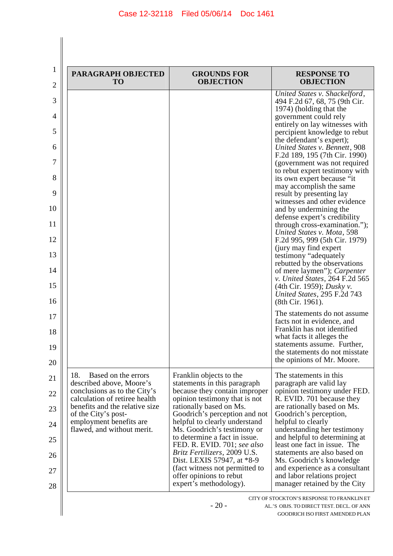| PARAGRAPH OBJECTED<br><b>TO</b>                                 | <b>GROUNDS FOR</b><br><b>OBJECTION</b>                         | <b>RESPONSE TO</b><br><b>OBJECTION</b>                                                            |
|-----------------------------------------------------------------|----------------------------------------------------------------|---------------------------------------------------------------------------------------------------|
|                                                                 |                                                                | United States v. Shackelford,<br>494 F.2d 67, 68, 75 (9th Cir.                                    |
|                                                                 |                                                                | 1974) (holding that the<br>government could rely                                                  |
|                                                                 |                                                                | entirely on lay witnesses with<br>percipient knowledge to rebut                                   |
|                                                                 |                                                                | the defendant's expert);<br>United States v. Bennett, 908                                         |
|                                                                 |                                                                | F.2d 189, 195 (7th Cir. 1990)<br>(government was not required                                     |
|                                                                 |                                                                | to rebut expert testimony with<br>its own expert because "it                                      |
|                                                                 |                                                                | may accomplish the same<br>result by presenting lay                                               |
|                                                                 |                                                                | witnesses and other evidence<br>and by undermining the                                            |
|                                                                 |                                                                | defense expert's credibility<br>through cross-examination.");                                     |
|                                                                 |                                                                | United States v. Mota, 598<br>F.2d 995, 999 (5th Cir. 1979)                                       |
|                                                                 |                                                                | (jury may find expert)<br>testimony "adequately                                                   |
|                                                                 |                                                                | rebutted by the observations<br>of mere laymen"); Carpenter                                       |
|                                                                 |                                                                | v. United States, 264 F.2d 565<br>(4th Cir. 1959); <i>Dusky v.</i><br>United States, 295 F.2d 743 |
|                                                                 |                                                                | (8th Cir. 1961).<br>The statements do not assume                                                  |
|                                                                 |                                                                | facts not in evidence, and<br>Franklin has not identified                                         |
|                                                                 |                                                                | what facts it alleges the<br>statements assume. Further,                                          |
|                                                                 |                                                                | the statements do not misstate<br>the opinions of Mr. Moore.                                      |
| 18.<br>Based on the errors                                      | Franklin objects to the                                        | The statements in this                                                                            |
| described above, Moore's<br>conclusions as to the City's        | statements in this paragraph<br>because they contain improper  | paragraph are valid lay<br>opinion testimony under FED.                                           |
| calculation of retiree health<br>benefits and the relative size | opinion testimony that is not<br>rationally based on Ms.       | R. EVID. 701 because they<br>are rationally based on Ms.                                          |
| of the City's post-<br>employment benefits are                  | Goodrich's perception and not<br>helpful to clearly understand | Goodrich's perception,<br>helpful to clearly                                                      |
| flawed, and without merit.                                      | Ms. Goodrich's testimony or<br>to determine a fact in issue.   | understanding her testimony<br>and helpful to determining at                                      |
|                                                                 | FED. R. EVID. 701; see also<br>Britz Fertilizers, 2009 U.S.    | least one fact in issue. The<br>statements are also based on                                      |
|                                                                 | Dist. LEXIS 57947, at *8-9<br>(fact witness not permitted to   | Ms. Goodrich's knowledge<br>and experience as a consultant                                        |
|                                                                 | offer opinions to rebut<br>expert's methodology).              | and labor relations project<br>manager retained by the City                                       |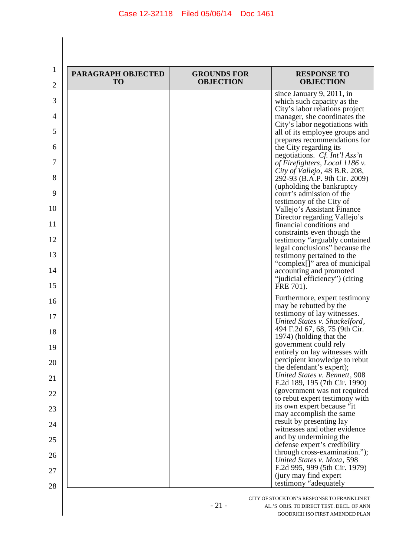| PARAGRAPH OBJECTED<br><b>TO</b> | <b>GROUNDS FOR</b><br><b>OBJECTION</b> | <b>RESPONSE TO</b><br><b>OBJECTION</b>                                       |
|---------------------------------|----------------------------------------|------------------------------------------------------------------------------|
|                                 |                                        | since January 9, 201 $\overline{1, \text{in}}$<br>which such capacity as the |
|                                 |                                        | City's labor relations project                                               |
|                                 |                                        | manager, she coordinates the<br>City's labor negotiations with               |
|                                 |                                        | all of its employee groups and                                               |
|                                 |                                        | prepares recommendations for<br>the City regarding its                       |
|                                 |                                        | negotiations. Cf. Int'l Ass'n                                                |
|                                 |                                        | of Firefighters, Local 1186 v.<br>City of Vallejo, 48 B.R. 208,              |
|                                 |                                        | 292-93 (B.A.P. 9th Cir. 2009)<br>(upholding the bankruptcy                   |
|                                 |                                        | court's admission of the                                                     |
|                                 |                                        | testimony of the City of<br>Vallejo's Assistant Finance                      |
|                                 |                                        | Director regarding Vallejo's<br>financial conditions and                     |
|                                 |                                        | constraints even though the                                                  |
|                                 |                                        | testimony "arguably contained<br>legal conclusions" because the              |
|                                 |                                        | testimony pertained to the                                                   |
|                                 |                                        | "complex[]" area of municipal<br>accounting and promoted                     |
|                                 |                                        | "judicial efficiency") (citing<br>FRE 701).                                  |
|                                 |                                        | Furthermore, expert testimony                                                |
|                                 |                                        | may be rebutted by the                                                       |
|                                 |                                        | testimony of lay witnesses.<br>United States v. Shackelford,                 |
|                                 |                                        | 494 F.2d 67, 68, 75 (9th Cir.<br>1974) (holding that the                     |
|                                 |                                        | government could rely                                                        |
|                                 |                                        | entirely on lay witnesses with<br>percipient knowledge to rebut              |
|                                 |                                        | the defendant's expert);                                                     |
|                                 |                                        | United States v. Bennett, 908<br>F.2d 189, 195 (7th Cir. 1990)               |
|                                 |                                        | (government was not required<br>to rebut expert testimony with               |
|                                 |                                        | its own expert because "it                                                   |
|                                 |                                        | may accomplish the same<br>result by presenting lay                          |
|                                 |                                        | witnesses and other evidence                                                 |
|                                 |                                        | and by undermining the<br>defense expert's credibility                       |
|                                 |                                        | through cross-examination.");                                                |
|                                 |                                        | United States v. Mota, 598<br>F.2d 995, 999 (5th Cir. 1979)                  |
|                                 |                                        | (jury may find expert)<br>testimony "adequately"                             |